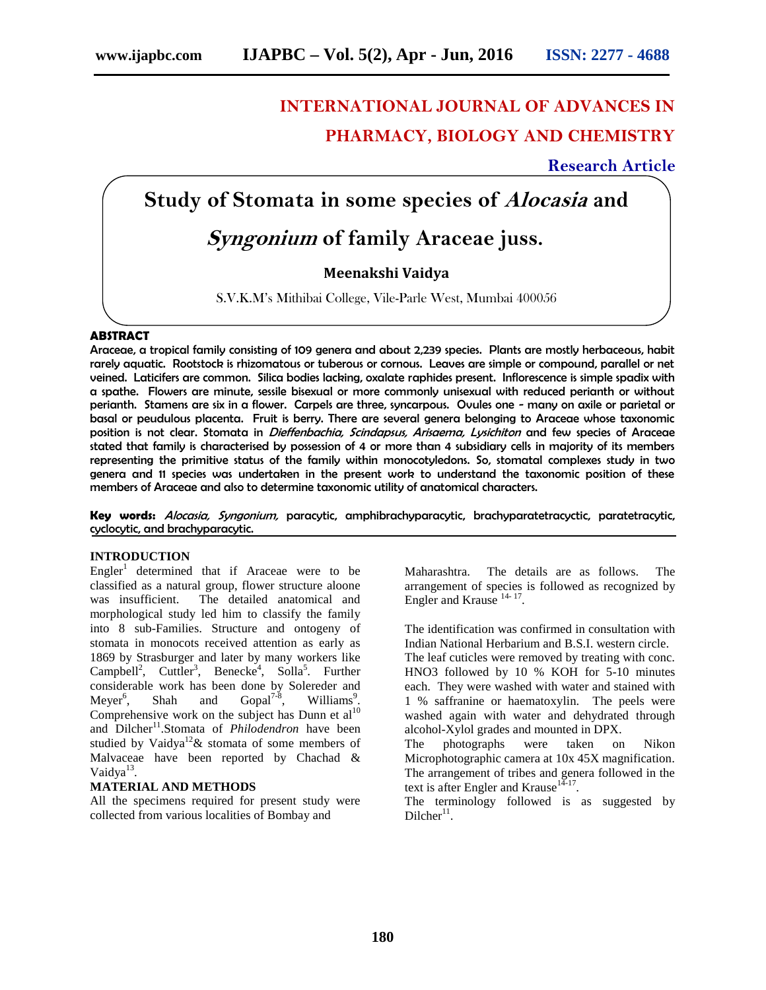# **INTERNATIONAL JOURNAL OF ADVANCES IN PHARMACY, BIOLOGY AND CHEMISTRY**

# **Research Article**

# **Study of Stomata in some species of** *Alocasia* **and**

# *Syngonium* **of family Araceae juss.**

## **Meenakshi Vaidya**

S.V.K.M's Mithibai College, Vile-Parle West, Mumbai 400056

### **ABSTRACT**

Araceae, a tropical family consisting of 109 genera and about 2,239 species. Plants are mostly herbaceous, habit rarely aquatic. Rootstock is rhizomatous or tuberous or cornous. Leaves are simple or compound, parallel or net veined. Laticifers are common. Silica bodies lacking, oxalate raphides present. Inflorescence is simple spadix with a spathe. Flowers are minute, sessile bisexual or more commonly unisexual with reduced perianth or without perianth. Stamens are six in a flower. Carpels are three, syncarpous. Ovules one - many on axile or parietal or basal or peudulous placenta. Fruit is berry. There are several genera belonging to Araceae whose taxonomic position is not clear. Stomata in *Dieffenbachia, Scindapsus, Arisaema, Lysichiton* and few species of Araceae stated that family is characterised by possession of 4 or more than 4 subsidiary cells in majority of its members representing the primitive status of the family within monocotyledons. So, stomatal complexes study in two genera and 11 species was undertaken in the present work to understand the taxonomic position of these members of Araceae and also to determine taxonomic utility of anatomical characters.

**Key words:** *Alocasia, Syngonium,* paracytic, amphibrachyparacytic, brachyparatetracyctic, paratetracytic, cyclocytic, and brachyparacytic.

## **INTRODUCTION**

 $Engler<sup>1</sup>$  determined that if Araceae were to be classified as a natural group, flower structure aloone was insufficient. The detailed anatomical and morphological study led him to classify the family into 8 sub-Families. Structure and ontogeny of stomata in monocots received attention as early as 1869 by Strasburger and later by many workers like  $Campbell<sup>2</sup>,$  Cuttler<sup>3</sup>, Benecke<sup>4</sup>, Solla<sup>5</sup>. Further considerable work has been done by Solereder and Mever<sup>6</sup>, Shah and Gopal<sup>7-8</sup>, Williams<sup>9</sup>.  $Meyer<sup>6</sup>$ , Gopal<sup>7-8</sup>, Williams<sup>9</sup>. . Comprehensive work on the subject has Dunn et  $al<sup>10</sup>$ and Dilcher<sup>11</sup>.Stomata of *Philodendron* have been studied by Vaidya<sup>12</sup> & stomata of some members of Malvaceae have been reported by Chachad & Vaidya<sup>13</sup>.

### **MATERIAL AND METHODS**

All the specimens required for present study were collected from various localities of Bombay and

Maharashtra. The details are as follows. The arrangement of species is followed as recognized by Engler and Krause<sup>14-17</sup>. .

The identification was confirmed in consultation with Indian National Herbarium and B.S.I. western circle.

The leaf cuticles were removed by treating with conc. HNO3 followed by 10 % KOH for 5-10 minutes each. They were washed with water and stained with 1 % saffranine or haematoxylin. The peels were washed again with water and dehydrated through alcohol-Xylol grades and mounted in DPX.

The photographs were taken on Nikon Microphotographic camera at 10x 45X magnification. The arrangement of tribes and genera followed in the text is after Engler and Krause<sup>14-17</sup>.

The terminology followed is as suggested by  $Dilcher<sup>11</sup>$ .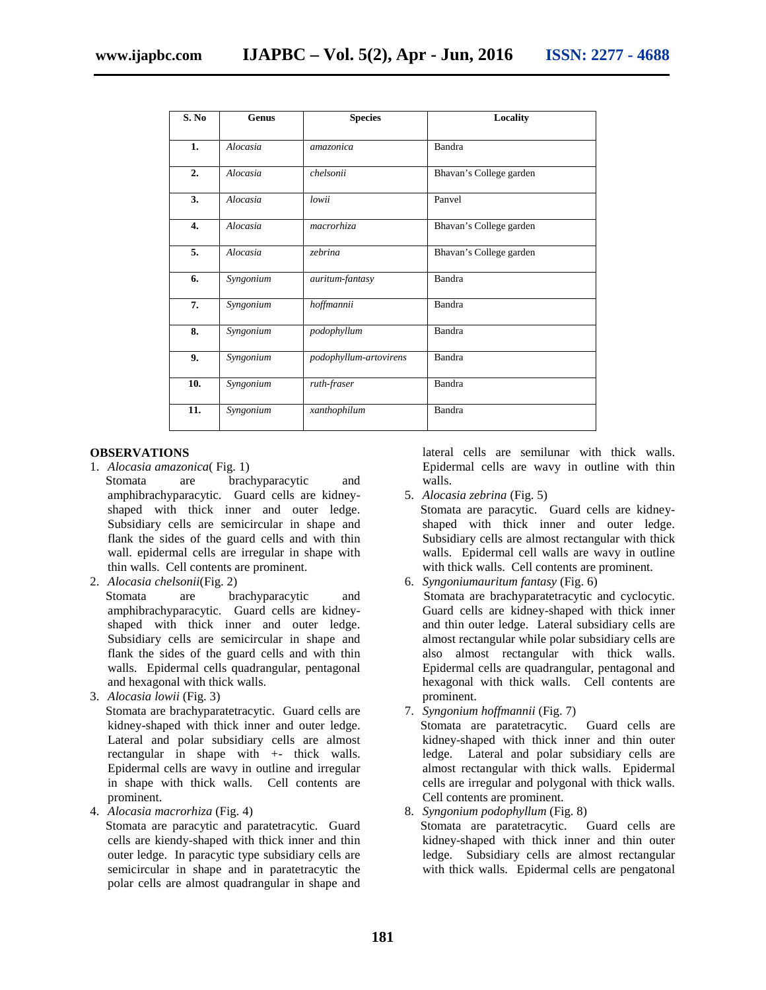| S. No | Genus     | <b>Species</b>         | <b>Locality</b>         |
|-------|-----------|------------------------|-------------------------|
| 1.    | Alocasia  | amazonica              | Bandra                  |
| 2.    | Alocasia  | chelsonii              | Bhavan's College garden |
| 3.    | Alocasia  | lowii                  | Panvel                  |
| 4.    | Alocasia  | macrorhiza             | Bhavan's College garden |
| 5.    | Alocasia  | zebrina                | Bhavan's College garden |
| 6.    | Syngonium | auritum-fantasy        | Bandra                  |
| 7.    | Syngonium | hoffmannii             | Bandra                  |
| 8.    | Syngonium | podophyllum            | Bandra                  |
| 9.    | Syngonium | podophyllum-artovirens | Bandra                  |
| 10.   | Syngonium | ruth-fraser            | Bandra                  |
| 11.   | Syngonium | xanthophilum           | Bandra                  |
|       |           |                        |                         |

#### **OBSERVATIONS**

- 1. *Alocasia amazonica*( Fig. 1) Stomata are brachyparacytic and amphibrachyparacytic. Guard cells are kidney shaped with thick inner and outer ledge. Subsidiary cells are semicircular in shape and flank the sides of the guard cells and with thin wall. epidermal cells are irregular in shape with thin walls. Cell contents are prominent.
- 2. *Alocasia chelsonii*(Fig. 2)
	- Stomata are brachyparacytic and amphibrachyparacytic. Guard cells are kidney shaped with thick inner and outer ledge. Subsidiary cells are semicircular in shape and flank the sides of the guard cells and with thin walls. Epidermal cells quadrangular, pentagonal and hexagonal with thick walls.
- 3. *Alocasia lowii* (Fig. 3)

Stomata are brachyparatetracytic. Guard cells are kidney-shaped with thick inner and outer ledge. Lateral and polar subsidiary cells are almost rectangular in shape with +- thick walls. Epidermal cells are wavy in outline and irregular in shape with thick walls. Cell contents are prominent.

4. *Alocasia macrorhiza* (Fig. 4)

Stomata are paracytic and paratetracytic. Guard cells are kiendy-shaped with thick inner and thin outer ledge. In paracytic type subsidiary cells are semicircular in shape and in paratetracytic the polar cells are almost quadrangular in shape and

lateral cells are semilunar with thick walls. Epidermal cells are wavy in outline with thin walls.

5. *Alocasia zebrina* (Fig. 5)

Stomata are paracytic. Guard cells are kidney shaped with thick inner and outer ledge. Subsidiary cells are almost rectangular with thick walls. Epidermal cell walls are wavy in outline with thick walls. Cell contents are prominent.

6. *Syngoniumauritum fantasy* (Fig. 6)

Stomata are brachyparatetracytic and cyclocytic. Guard cells are kidney-shaped with thick inner and thin outer ledge. Lateral subsidiary cells are almost rectangular while polar subsidiary cells are also almost rectangular with thick walls. Epidermal cells are quadrangular, pentagonal and hexagonal with thick walls. Cell contents are prominent.

7. *Syngonium hoffmannii* (Fig. 7)

Stomata are paratetracytic. Guard cells are kidney-shaped with thick inner and thin outer ledge. Lateral and polar subsidiary cells are almost rectangular with thick walls. Epidermal cells are irregular and polygonal with thick walls. Cell contents are prominent.

8. *Syngonium podophyllum* (Fig. 8) Stomata are paratetracytic. kidney-shaped with thick inner and thin outer ledge. Subsidiary cells are almost rectangular with thick walls. Epidermal cells are pengatonal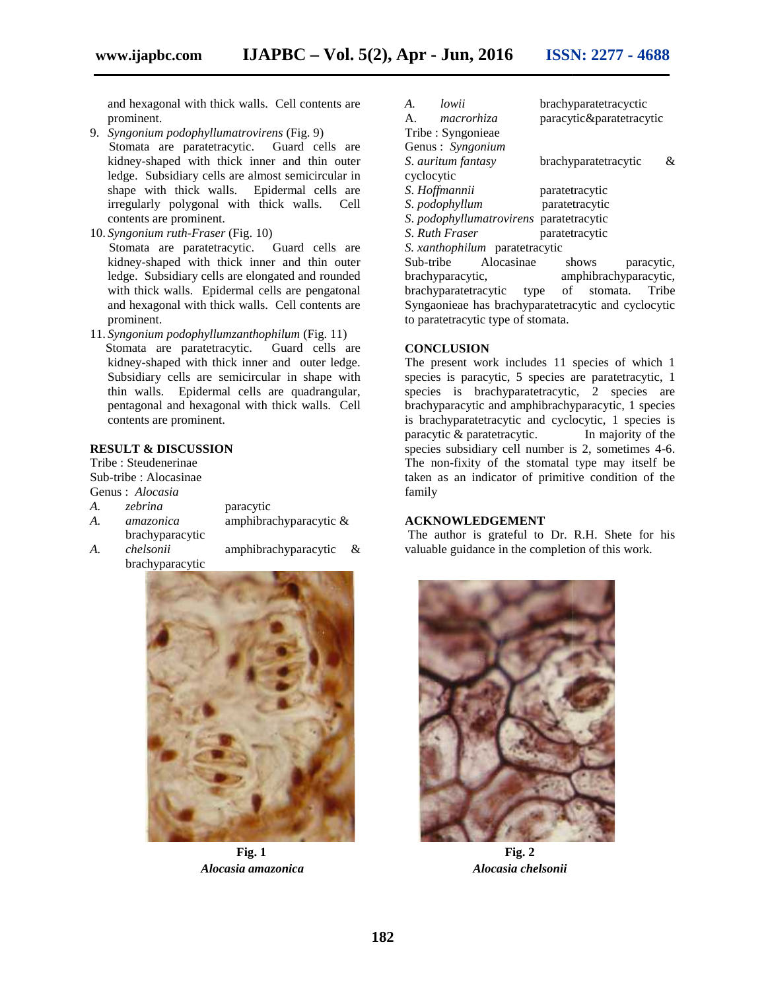and hexagonal with thick walls. Cell contents are prominent.

- 9. *Syngonium podophyllumatrovirens* (Fig. 9) Stomata are paratetracytic. Guard cells are kidney-shaped with thick inner and thin outer ledge. Subsidiary cells are almost semicircular in shape with thick walls. Epidermal cells are ledge. Subsidiary cells are almost semicircular in<br>shape with thick walls. Epidermal cells are<br>irregularly polygonal with thick walls. Cell contents are prominent. hexagonal with thick walls. Cell contents are<br>ninent.<br>*gonium podophyllumatrovirens* (Fig. 9)<br>paratetracytic. Guard cells are<br>ey-shaped with thick inner and thin outer
- 10. *Syngonium ruth*-*Fraser* (Fig. 10) Stomata are paratetracytic. Syngonium ruth-Fraser (Fig. 10)<br>Stomata are paratetracytic. Guard cells are<br>kidney-shaped with thick inner and thin outer ledge. Subsidiary cells are elongated and rounded ledge. Subsidiary cells are elongated and rounded<br>with thick walls. Epidermal cells are pengatonal and hexagonal with thick walls. Cell contents are prominent.
- 11. *Syngonium podophyllumzanthophilum* (Fig. 11) Stomata are paratetracytic. Guard cells are kidney-shaped with thick inner and outer ledge. Subsidiary cells are semicircular in shape with thin walls. Epidermal cells are quadrangular, pentagonal and hexagonal with thick walls. Cell contents are prominent. and hexagonal with thick walls. Cell content<br>prominent.<br>Syngonium podophyllumzanthophilum (Fig. 1<br>Stomata are paratetracytic. Guard cells<br>kidney-shaped with thick inner and outer le<br>Subsidiary cells are semicircular in sha

#### **RESULT & DISCUSSION &**

Tribe : Steudenerinae Sub-tribe : Alocasinae

|  | Genus : Alocasia |  |
|--|------------------|--|
|--|------------------|--|

- *A. zebrina* paracytic paracytic*A. amazonica* amphibrachyparacytic & brachyparacytic
- brachyparacytic

*A. chelsonii* amphibrachyparacytic &



*Alocasia amazonica Alocasia chelsonii*

| hexagonal with thick walls. Cell contents are   | brachyparatetracyctic<br>lowii<br>A.                  |  |
|-------------------------------------------------|-------------------------------------------------------|--|
| minent.                                         | paracytic&paratetracytic<br>A.<br>macrorhiza          |  |
| gonium podophyllumatrovirens (Fig. 9)           | Tribe: Syngonieae                                     |  |
| mata are paratetracytic.<br>Guard cells are     | Genus: Syngonium                                      |  |
| ney-shaped with thick inner and thin outer      | S. auritum fantasy<br>brachyparatetracytic<br>&       |  |
| ge. Subsidiary cells are almost semicircular in | cyclocytic                                            |  |
| pe with thick walls. Epidermal cells are        | S. Hoffmannii<br>paratetracytic                       |  |
| gularly polygonal with thick walls. Cell        | S. podophyllum<br>paratetracytic                      |  |
| tents are prominent.                            | S. podophyllumatrovirens paratetracytic               |  |
| gonium ruth-Fraser (Fig. 10)                    | S. Ruth Fraser<br>paratetracytic                      |  |
| mata are paratetracytic. Guard cells are        | S. xanthophilum paratetracytic                        |  |
| ney-shaped with thick inner and thin outer      | Sub-tribe<br>Alocasinae<br>shows<br>paracytic.        |  |
| ge. Subsidiary cells are elongated and rounded  | brachyparacytic,<br>amphibrachyparacytic,             |  |
| n thick walls. Epidermal cells are pengatonal   | of stomata.<br>brachyparatetracytic<br>type<br>Tribe  |  |
| hexagonal with thick walls. Cell contents are   | Syngaonieae has brachyparatetracytic and cyclocytic   |  |
| minent.                                         | to paratetracytic type of stomata.                    |  |
| gonium podophyllumzanthophilum (Fig. 11)        |                                                       |  |
| nata are paratetracytic. Guard cells are        | <b>CONCLUSION</b>                                     |  |
| ney-shaped with thick inner and outer ledge.    | The present work includes 11 species of which 1       |  |
| sidiary cells are semicircular in shape with    | species is paracytic, 5 species are paratetracytic, 1 |  |
| walls. Epidermal cells are quadrangular,        | species is brachyparatetracytic, 2 species are        |  |
| tagonal and hexagonal with thick walls. Cell    | brachyparacytic and amphibrachyparacytic, 1 species   |  |
| tents are prominent.                            | is brachyparatetracytic and cyclocytic, 1 species is  |  |
|                                                 | paracytic & paratetracytic.<br>In majority of the     |  |
| <b>LT &amp; DISCUSSION</b>                      | species subsidiary cell number is 2, sometimes 4-6.   |  |
| Steudenerinae                                   | The non-fixity of the stomatal type may itself be     |  |
| be: Alocasinae                                  | taken as an indicator of primitive condition of the   |  |
| : Alocasia                                      | family                                                |  |
| zebrina<br>paracytic                            |                                                       |  |
| amphibrachyparacytic &<br>amazonica             | <b>ACKNOWLEDGEMENT</b>                                |  |
| brachyparacytic                                 | The author is grateful to Dr. R.H. Shete for his      |  |
| chelsonii<br>amphibrachyparacytic<br>&          | valuable guidance in the completion of this work.     |  |

#### **CONCLUSION**

#### **ACKNOWLEDGEMENT**



**Fig. 1 Fig. 2 Fig. 2**Alocasia chelsonii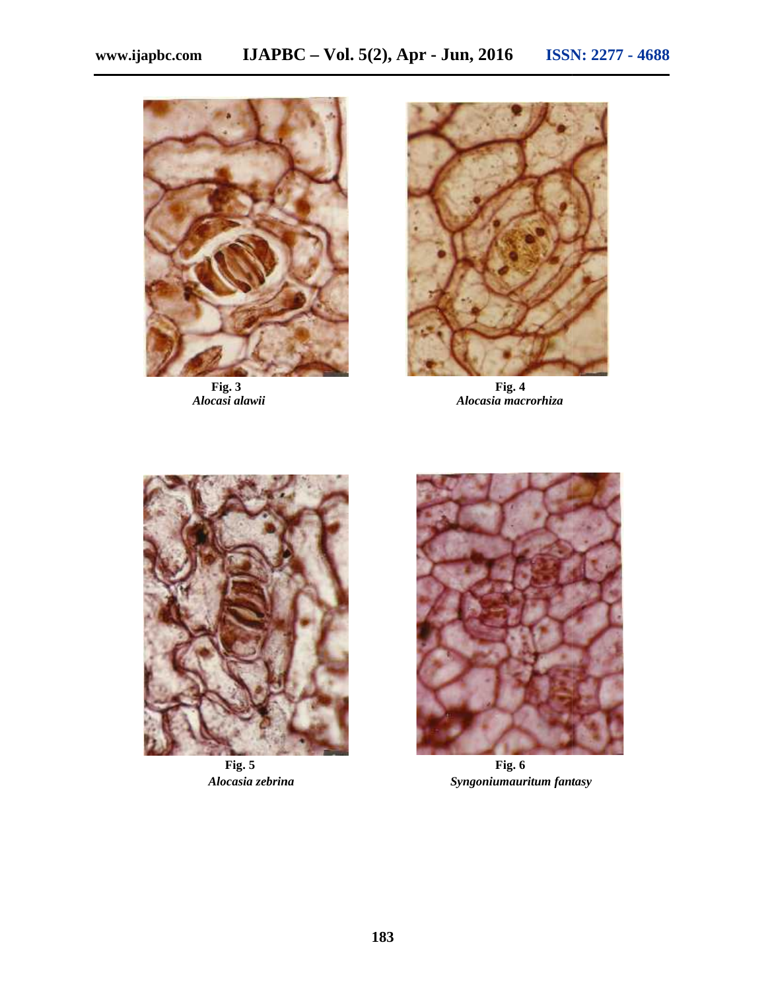



**Fig. 3 Fig. 4** *Alocasi alawii Alocasia macrorhiza Alocasia*





**Fig. 5 Fig. 6** *Alocasia zebrina Syngoniumauritum fantasy Syngoniumauritum*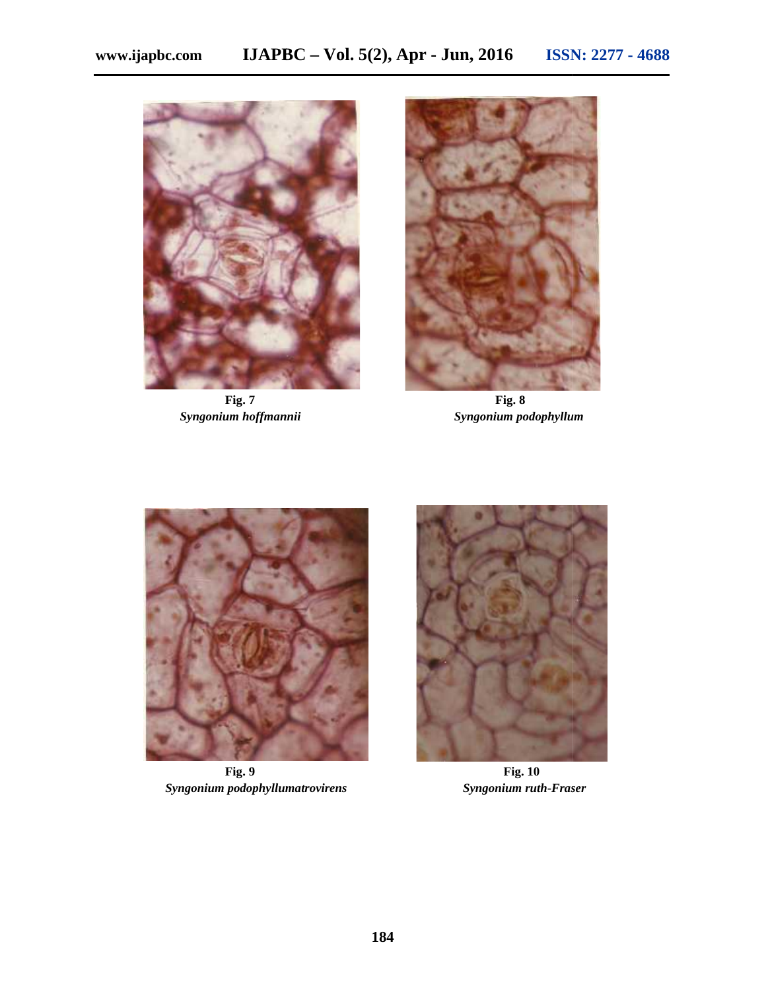



**Fig. 7 Fig. 8** *Syngonium hoffmannii Syngonium podophyllum hoffmannii*



*Syngonium podophyllumatrovirens Syngonium ruth***-***Fraser*



**Fig. 9 Fig. 10 10**